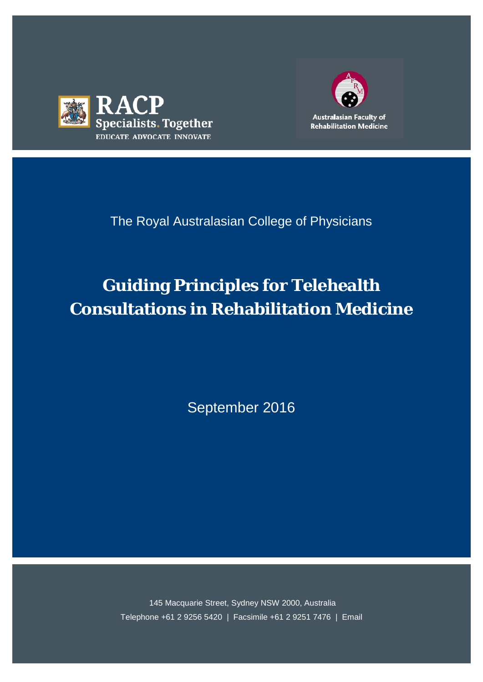



# The Royal Australasian College of Physicians

# **Guiding Principles for Telehealth Consultations in Rehabilitation Medicine**

September 2016

145 Macquarie Street, Sydney NSW 2000, Australia Telephone +61 2 9256 5420 | Facsimile +61 2 9251 7476 | Email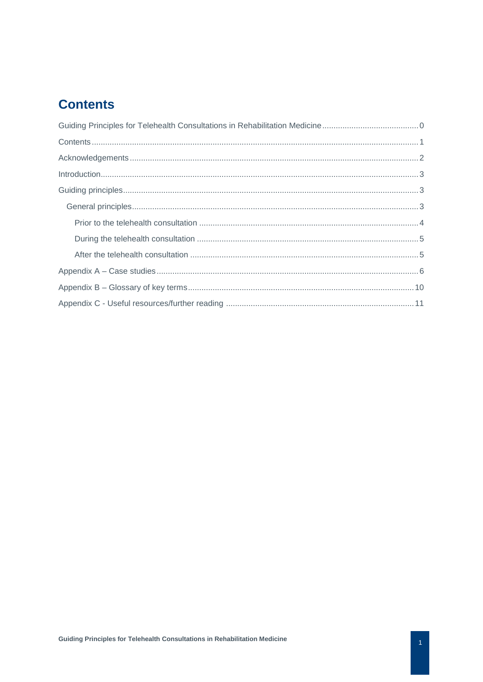# <span id="page-1-0"></span>**Contents**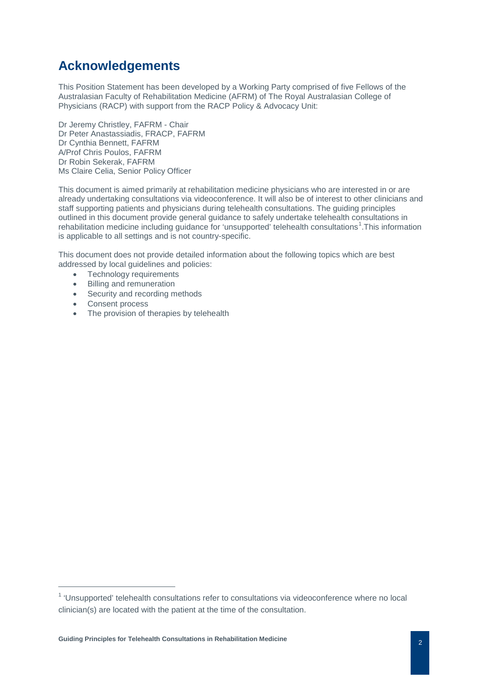# <span id="page-2-0"></span>**Acknowledgements**

This Position Statement has been developed by a Working Party comprised of five Fellows of the Australasian Faculty of Rehabilitation Medicine (AFRM) of The Royal Australasian College of Physicians (RACP) with support from the RACP Policy & Advocacy Unit:

Dr Jeremy Christley, FAFRM - Chair Dr Peter Anastassiadis, FRACP, FAFRM Dr Cynthia Bennett, FAFRM A/Prof Chris Poulos, FAFRM Dr Robin Sekerak, FAFRM Ms Claire Celia, Senior Policy Officer

This document is aimed primarily at rehabilitation medicine physicians who are interested in or are already undertaking consultations via videoconference. It will also be of interest to other clinicians and staff supporting patients and physicians during telehealth consultations. The guiding principles outlined in this document provide general guidance to safely undertake telehealth consultations in rehabilitation medicine including guidance for 'unsupported' telehealth consultations<sup>[1](#page-2-1)</sup>. This information is applicable to all settings and is not country-specific.

This document does not provide detailed information about the following topics which are best addressed by local guidelines and policies:

- Technology requirements
- Billing and remuneration
- Security and recording methods
- Consent process
- The provision of therapies by telehealth

<span id="page-2-1"></span> $1$  'Unsupported' telehealth consultations refer to consultations via videoconference where no local clinician(s) are located with the patient at the time of the consultation.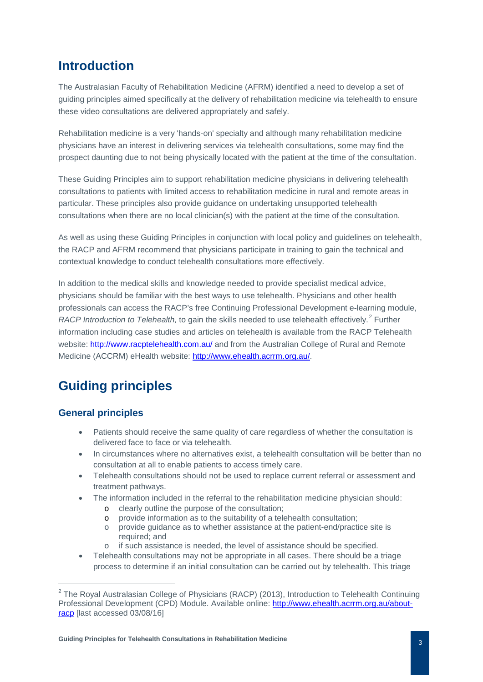### <span id="page-3-0"></span>**Introduction**

The Australasian Faculty of Rehabilitation Medicine (AFRM) identified a need to develop a set of guiding principles aimed specifically at the delivery of rehabilitation medicine via telehealth to ensure these video consultations are delivered appropriately and safely.

Rehabilitation medicine is a very 'hands-on' specialty and although many rehabilitation medicine physicians have an interest in delivering services via telehealth consultations, some may find the prospect daunting due to not being physically located with the patient at the time of the consultation.

These Guiding Principles aim to support rehabilitation medicine physicians in delivering telehealth consultations to patients with limited access to rehabilitation medicine in rural and remote areas in particular. These principles also provide guidance on undertaking unsupported telehealth consultations when there are no local clinician(s) with the patient at the time of the consultation.

As well as using these Guiding Principles in conjunction with local policy and guidelines on telehealth, the RACP and AFRM recommend that physicians participate in training to gain the technical and contextual knowledge to conduct telehealth consultations more effectively.

In addition to the medical skills and knowledge needed to provide specialist medical advice, physicians should be familiar with the best ways to use telehealth. Physicians and other health professionals can access the RACP's free Continuing Professional Development e-learning module, *RACP Introduction to Telehealth*, to gain the skills needed to use telehealth effectively.<sup>[2](#page-3-3)</sup> Further information including case studies and articles on telehealth is available from the RACP Telehealth website:<http://www.racptelehealth.com.au/> and from the Australian College of Rural and Remote Medicine (ACCRM) eHealth website: [http://www.ehealth.acrrm.org.au/.](http://www.ehealth.acrrm.org.au/)

# <span id="page-3-1"></span>**Guiding principles**

#### <span id="page-3-2"></span>**General principles**

 $\overline{a}$ 

- Patients should receive the same quality of care regardless of whether the consultation is delivered face to face or via telehealth.
- In circumstances where no alternatives exist, a telehealth consultation will be better than no consultation at all to enable patients to access timely care.
- Telehealth consultations should not be used to replace current referral or assessment and treatment pathways.
- The information included in the referral to the rehabilitation medicine physician should:
	- o clearly outline the purpose of the consultation;<br>o provide information as to the suitability of a tele
	- o provide information as to the suitability of a telehealth consultation;<br>
	o provide guidance as to whether assistance at the patient-end/practi
	- provide guidance as to whether assistance at the patient-end/practice site is required; and
	- o if such assistance is needed, the level of assistance should be specified.
- Telehealth consultations may not be appropriate in all cases. There should be a triage process to determine if an initial consultation can be carried out by telehealth. This triage

<span id="page-3-3"></span> $2$  The Roval Australasian College of Physicians (RACP) (2013), Introduction to Telehealth Continuing Professional Development (CPD) Module. Available online: [http://www.ehealth.acrrm.org.au/about](http://www.ehealth.acrrm.org.au/about-racp)[racp](http://www.ehealth.acrrm.org.au/about-racp) [last accessed 03/08/16]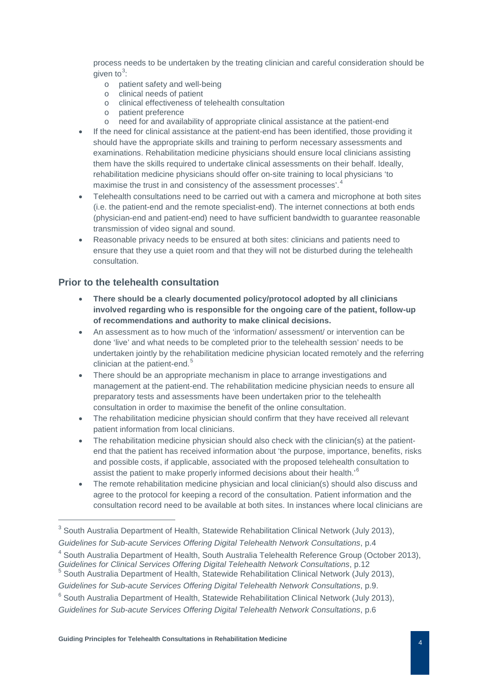process needs to be undertaken by the treating clinician and careful consideration should be given to $3$ :

- o patient safety and well-being
- o clinical needs of patient
- o clinical effectiveness of telehealth consultation
- o patient preference
- o need for and availability of appropriate clinical assistance at the patient-end
- If the need for clinical assistance at the patient-end has been identified, those providing it should have the appropriate skills and training to perform necessary assessments and examinations. Rehabilitation medicine physicians should ensure local clinicians assisting them have the skills required to undertake clinical assessments on their behalf. Ideally, rehabilitation medicine physicians should offer on-site training to local physicians 'to maximise the trust in and consistency of the assessment processes'.<sup>[4](#page-4-2)</sup>
- Telehealth consultations need to be carried out with a camera and microphone at both sites (i.e. the patient-end and the remote specialist-end). The internet connections at both ends (physician-end and patient-end) need to have sufficient bandwidth to guarantee reasonable transmission of video signal and sound.
- Reasonable privacy needs to be ensured at both sites: clinicians and patients need to ensure that they use a quiet room and that they will not be disturbed during the telehealth consultation.

#### <span id="page-4-0"></span>**Prior to the telehealth consultation**

- **There should be a clearly documented policy/protocol adopted by all clinicians involved regarding who is responsible for the ongoing care of the patient, follow-up of recommendations and authority to make clinical decisions.**
- An assessment as to how much of the 'information/ assessment/ or intervention can be done 'live' and what needs to be completed prior to the telehealth session' needs to be undertaken jointly by the rehabilitation medicine physician located remotely and the referring clinician at the patient-end. $5$
- There should be an appropriate mechanism in place to arrange investigations and management at the patient-end. The rehabilitation medicine physician needs to ensure all preparatory tests and assessments have been undertaken prior to the telehealth consultation in order to maximise the benefit of the online consultation.
- The rehabilitation medicine physician should confirm that they have received all relevant patient information from local clinicians.
- The rehabilitation medicine physician should also check with the clinician(s) at the patientend that the patient has received information about 'the purpose, importance, benefits, risks and possible costs, if applicable, associated with the proposed telehealth consultation to assist the patient to make properly informed decisions about their health.<sup>[6](#page-4-4)</sup>
- The remote rehabilitation medicine physician and local clinician(s) should also discuss and agree to the protocol for keeping a record of the consultation. Patient information and the consultation record need to be available at both sites. In instances where local clinicians are

<span id="page-4-2"></span><sup>4</sup> South Australia Department of Health, South Australia Telehealth Reference Group (October 2013), *Guidelines for Clinical Services Offering Digital Telehealth Network Consultations*, p.12

<span id="page-4-1"></span><sup>&</sup>lt;sup>3</sup> South Australia Department of Health, Statewide Rehabilitation Clinical Network (July 2013),

*Guidelines for Sub-acute Services Offering Digital Telehealth Network Consultations*, p.4

<span id="page-4-3"></span> $<sup>5</sup>$  South Australia Department of Health, Statewide Rehabilitation Clinical Network (July 2013),</sup>

*Guidelines for Sub-acute Services Offering Digital Telehealth Network Consultations*, p.9.

<span id="page-4-4"></span><sup>&</sup>lt;sup>6</sup> South Australia Department of Health, Statewide Rehabilitation Clinical Network (July 2013),

*Guidelines for Sub-acute Services Offering Digital Telehealth Network Consultations*, p.6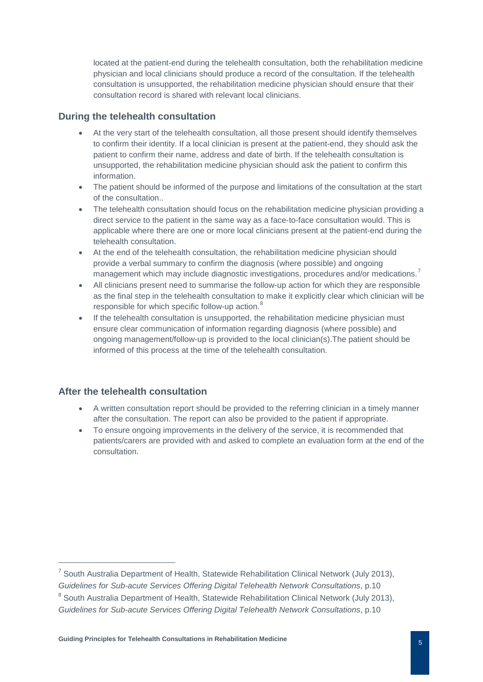located at the patient-end during the telehealth consultation, both the rehabilitation medicine physician and local clinicians should produce a record of the consultation. If the telehealth consultation is unsupported, the rehabilitation medicine physician should ensure that their consultation record is shared with relevant local clinicians.

#### <span id="page-5-0"></span>**During the telehealth consultation**

- At the very start of the telehealth consultation, all those present should identify themselves to confirm their identity. If a local clinician is present at the patient-end, they should ask the patient to confirm their name, address and date of birth. If the telehealth consultation is unsupported, the rehabilitation medicine physician should ask the patient to confirm this information.
- The patient should be informed of the purpose and limitations of the consultation at the start of the consultation..
- The telehealth consultation should focus on the rehabilitation medicine physician providing a direct service to the patient in the same way as a face-to-face consultation would. This is applicable where there are one or more local clinicians present at the patient-end during the telehealth consultation.
- At the end of the telehealth consultation, the rehabilitation medicine physician should provide a verbal summary to confirm the diagnosis (where possible) and ongoing management which may include diagnostic investigations, procedures and/or medications.<sup>[7](#page-5-2)</sup>
- All clinicians present need to summarise the follow-up action for which they are responsible as the final step in the telehealth consultation to make it explicitly clear which clinician will be responsible for which specific follow-up action.<sup>[8](#page-5-3)</sup>
- If the telehealth consultation is unsupported, the rehabilitation medicine physician must ensure clear communication of information regarding diagnosis (where possible) and ongoing management/follow-up is provided to the local clinician(s).The patient should be informed of this process at the time of the telehealth consultation.

#### <span id="page-5-1"></span>**After the telehealth consultation**

- A written consultation report should be provided to the referring clinician in a timely manner after the consultation. The report can also be provided to the patient if appropriate.
- To ensure ongoing improvements in the delivery of the service, it is recommended that patients/carers are provided with and asked to complete an evaluation form at the end of the consultation.

<span id="page-5-2"></span> $^7$  South Australia Department of Health, Statewide Rehabilitation Clinical Network (July 2013),

*Guidelines for Sub-acute Services Offering Digital Telehealth Network Consultations*, p.10

<span id="page-5-3"></span><sup>&</sup>lt;sup>8</sup> South Australia Department of Health, Statewide Rehabilitation Clinical Network (July 2013),

*Guidelines for Sub-acute Services Offering Digital Telehealth Network Consultations*, p.10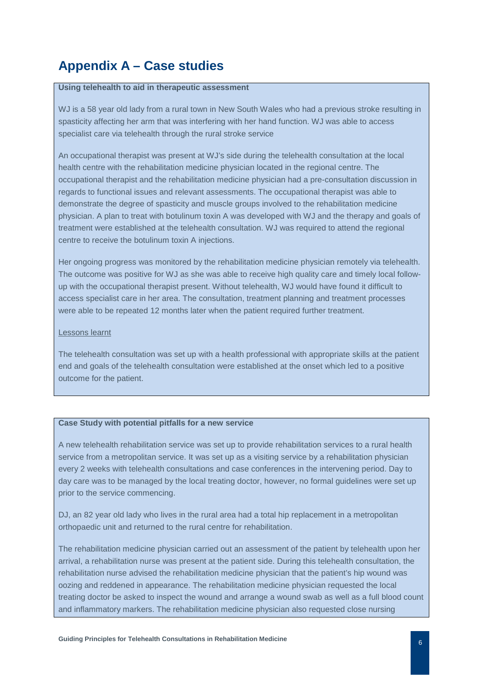# <span id="page-6-0"></span>**Appendix A – Case studies**

#### **Using telehealth to aid in therapeutic assessment**

WJ is a 58 year old lady from a rural town in New South Wales who had a previous stroke resulting in spasticity affecting her arm that was interfering with her hand function. WJ was able to access specialist care via telehealth through the rural stroke service

An occupational therapist was present at WJ's side during the telehealth consultation at the local health centre with the rehabilitation medicine physician located in the regional centre. The occupational therapist and the rehabilitation medicine physician had a pre-consultation discussion in regards to functional issues and relevant assessments. The occupational therapist was able to demonstrate the degree of spasticity and muscle groups involved to the rehabilitation medicine physician. A plan to treat with botulinum toxin A was developed with WJ and the therapy and goals of treatment were established at the telehealth consultation. WJ was required to attend the regional centre to receive the botulinum toxin A injections.

Her ongoing progress was monitored by the rehabilitation medicine physician remotely via telehealth. The outcome was positive for WJ as she was able to receive high quality care and timely local followup with the occupational therapist present. Without telehealth, WJ would have found it difficult to access specialist care in her area. The consultation, treatment planning and treatment processes were able to be repeated 12 months later when the patient required further treatment.

#### Lessons learnt

The telehealth consultation was set up with a health professional with appropriate skills at the patient end and goals of the telehealth consultation were established at the onset which led to a positive outcome for the patient.

#### **Case Study with potential pitfalls for a new service**

A new telehealth rehabilitation service was set up to provide rehabilitation services to a rural health service from a metropolitan service. It was set up as a visiting service by a rehabilitation physician every 2 weeks with telehealth consultations and case conferences in the intervening period. Day to day care was to be managed by the local treating doctor, however, no formal guidelines were set up prior to the service commencing.

DJ, an 82 year old lady who lives in the rural area had a total hip replacement in a metropolitan orthopaedic unit and returned to the rural centre for rehabilitation.

The rehabilitation medicine physician carried out an assessment of the patient by telehealth upon her arrival, a rehabilitation nurse was present at the patient side. During this telehealth consultation, the rehabilitation nurse advised the rehabilitation medicine physician that the patient's hip wound was oozing and reddened in appearance. The rehabilitation medicine physician requested the local treating doctor be asked to inspect the wound and arrange a wound swab as well as a full blood count and inflammatory markers. The rehabilitation medicine physician also requested close nursing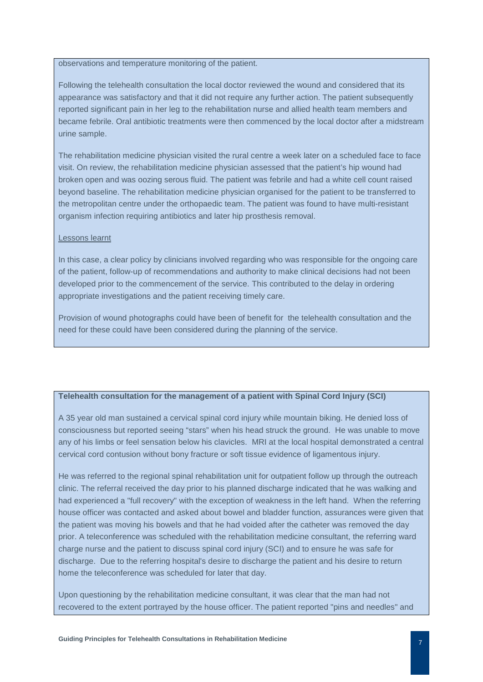observations and temperature monitoring of the patient.

Following the telehealth consultation the local doctor reviewed the wound and considered that its appearance was satisfactory and that it did not require any further action. The patient subsequently reported significant pain in her leg to the rehabilitation nurse and allied health team members and became febrile. Oral antibiotic treatments were then commenced by the local doctor after a midstream urine sample.

The rehabilitation medicine physician visited the rural centre a week later on a scheduled face to face visit. On review, the rehabilitation medicine physician assessed that the patient's hip wound had broken open and was oozing serous fluid. The patient was febrile and had a white cell count raised beyond baseline. The rehabilitation medicine physician organised for the patient to be transferred to the metropolitan centre under the orthopaedic team. The patient was found to have multi-resistant organism infection requiring antibiotics and later hip prosthesis removal.

#### Lessons learnt

In this case, a clear policy by clinicians involved regarding who was responsible for the ongoing care of the patient, follow-up of recommendations and authority to make clinical decisions had not been developed prior to the commencement of the service. This contributed to the delay in ordering appropriate investigations and the patient receiving timely care.

Provision of wound photographs could have been of benefit for the telehealth consultation and the need for these could have been considered during the planning of the service.

#### **Telehealth consultation for the management of a patient with Spinal Cord Injury (SCI)**

A 35 year old man sustained a cervical spinal cord injury while mountain biking. He denied loss of consciousness but reported seeing "stars" when his head struck the ground. He was unable to move any of his limbs or feel sensation below his clavicles. MRI at the local hospital demonstrated a central cervical cord contusion without bony fracture or soft tissue evidence of ligamentous injury.

He was referred to the regional spinal rehabilitation unit for outpatient follow up through the outreach clinic. The referral received the day prior to his planned discharge indicated that he was walking and had experienced a "full recovery" with the exception of weakness in the left hand. When the referring house officer was contacted and asked about bowel and bladder function, assurances were given that the patient was moving his bowels and that he had voided after the catheter was removed the day prior. A teleconference was scheduled with the rehabilitation medicine consultant, the referring ward charge nurse and the patient to discuss spinal cord injury (SCI) and to ensure he was safe for discharge. Due to the referring hospital's desire to discharge the patient and his desire to return home the teleconference was scheduled for later that day.

Upon questioning by the rehabilitation medicine consultant, it was clear that the man had not recovered to the extent portrayed by the house officer. The patient reported "pins and needles" and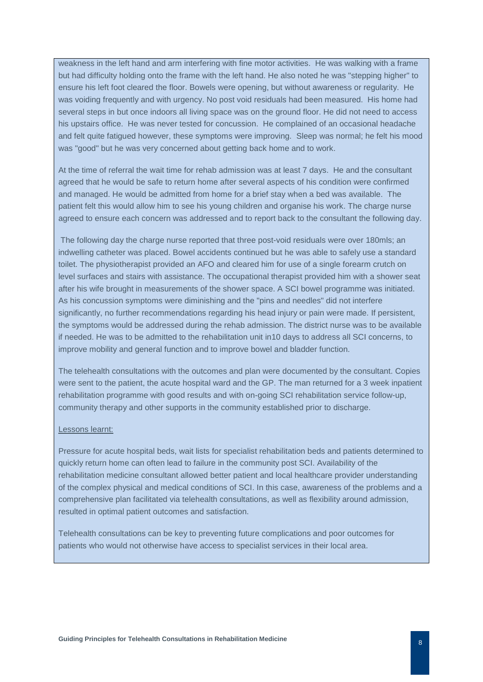weakness in the left hand and arm interfering with fine motor activities. He was walking with a frame but had difficulty holding onto the frame with the left hand. He also noted he was "stepping higher" to ensure his left foot cleared the floor. Bowels were opening, but without awareness or regularity. He was voiding frequently and with urgency. No post void residuals had been measured. His home had several steps in but once indoors all living space was on the ground floor. He did not need to access his upstairs office. He was never tested for concussion. He complained of an occasional headache and felt quite fatigued however, these symptoms were improving. Sleep was normal; he felt his mood was "good" but he was very concerned about getting back home and to work.

At the time of referral the wait time for rehab admission was at least 7 days. He and the consultant agreed that he would be safe to return home after several aspects of his condition were confirmed and managed. He would be admitted from home for a brief stay when a bed was available. The patient felt this would allow him to see his young children and organise his work. The charge nurse agreed to ensure each concern was addressed and to report back to the consultant the following day.

The following day the charge nurse reported that three post-void residuals were over 180mls; an indwelling catheter was placed. Bowel accidents continued but he was able to safely use a standard toilet. The physiotherapist provided an AFO and cleared him for use of a single forearm crutch on level surfaces and stairs with assistance. The occupational therapist provided him with a shower seat after his wife brought in measurements of the shower space. A SCI bowel programme was initiated. As his concussion symptoms were diminishing and the "pins and needles" did not interfere significantly, no further recommendations regarding his head injury or pain were made. If persistent, the symptoms would be addressed during the rehab admission. The district nurse was to be available if needed. He was to be admitted to the rehabilitation unit in10 days to address all SCI concerns, to improve mobility and general function and to improve bowel and bladder function.

The telehealth consultations with the outcomes and plan were documented by the consultant. Copies were sent to the patient, the acute hospital ward and the GP. The man returned for a 3 week inpatient rehabilitation programme with good results and with on-going SCI rehabilitation service follow-up, community therapy and other supports in the community established prior to discharge.

#### Lessons learnt:

Pressure for acute hospital beds, wait lists for specialist rehabilitation beds and patients determined to quickly return home can often lead to failure in the community post SCI. Availability of the rehabilitation medicine consultant allowed better patient and local healthcare provider understanding of the complex physical and medical conditions of SCI. In this case, awareness of the problems and a comprehensive plan facilitated via telehealth consultations, as well as flexibility around admission, resulted in optimal patient outcomes and satisfaction.

Telehealth consultations can be key to preventing future complications and poor outcomes for patients who would not otherwise have access to specialist services in their local area.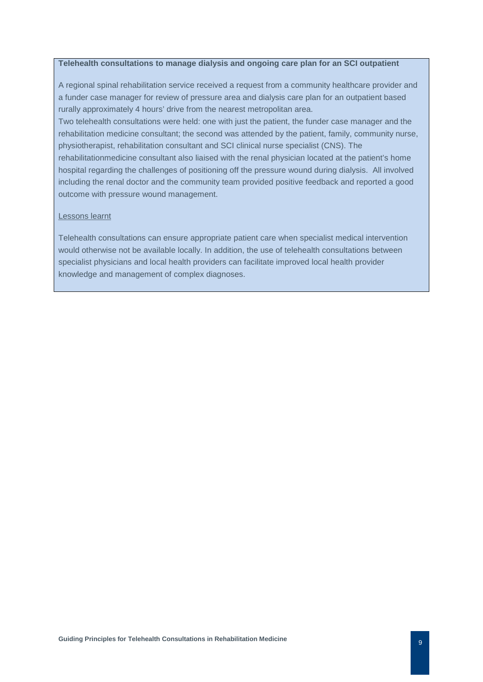#### **Telehealth consultations to manage dialysis and ongoing care plan for an SCI outpatient**

A regional spinal rehabilitation service received a request from a community healthcare provider and a funder case manager for review of pressure area and dialysis care plan for an outpatient based rurally approximately 4 hours' drive from the nearest metropolitan area.

Two telehealth consultations were held: one with just the patient, the funder case manager and the rehabilitation medicine consultant; the second was attended by the patient, family, community nurse, physiotherapist, rehabilitation consultant and SCI clinical nurse specialist (CNS). The

rehabilitationmedicine consultant also liaised with the renal physician located at the patient's home hospital regarding the challenges of positioning off the pressure wound during dialysis. All involved including the renal doctor and the community team provided positive feedback and reported a good outcome with pressure wound management.

#### Lessons learnt

Telehealth consultations can ensure appropriate patient care when specialist medical intervention would otherwise not be available locally. In addition, the use of telehealth consultations between specialist physicians and local health providers can facilitate improved local health provider knowledge and management of complex diagnoses.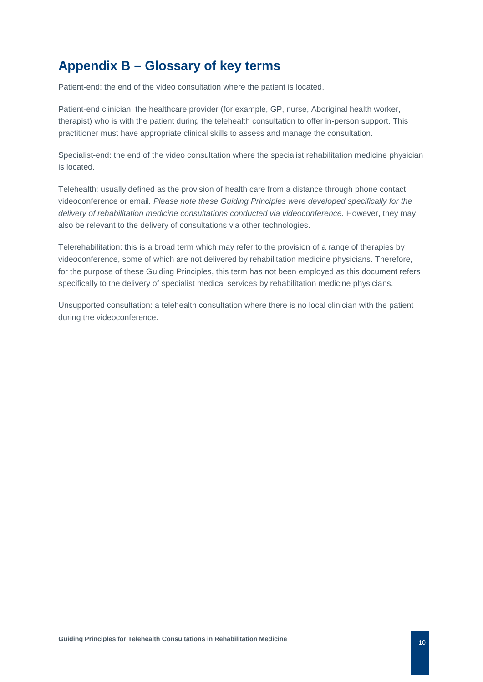# <span id="page-10-0"></span>**Appendix B – Glossary of key terms**

Patient-end: the end of the video consultation where the patient is located.

Patient-end clinician: the healthcare provider (for example, GP, nurse, Aboriginal health worker, therapist) who is with the patient during the telehealth consultation to offer in-person support. This practitioner must have appropriate clinical skills to assess and manage the consultation.

Specialist-end: the end of the video consultation where the specialist rehabilitation medicine physician is located.

Telehealth: usually defined as the provision of health care from a distance through phone contact, videoconference or email*. Please note these Guiding Principles were developed specifically for the*  delivery of rehabilitation medicine consultations conducted via videoconference. However, they may also be relevant to the delivery of consultations via other technologies.

Telerehabilitation: this is a broad term which may refer to the provision of a range of therapies by videoconference, some of which are not delivered by rehabilitation medicine physicians. Therefore, for the purpose of these Guiding Principles, this term has not been employed as this document refers specifically to the delivery of specialist medical services by rehabilitation medicine physicians.

Unsupported consultation: a telehealth consultation where there is no local clinician with the patient during the videoconference.